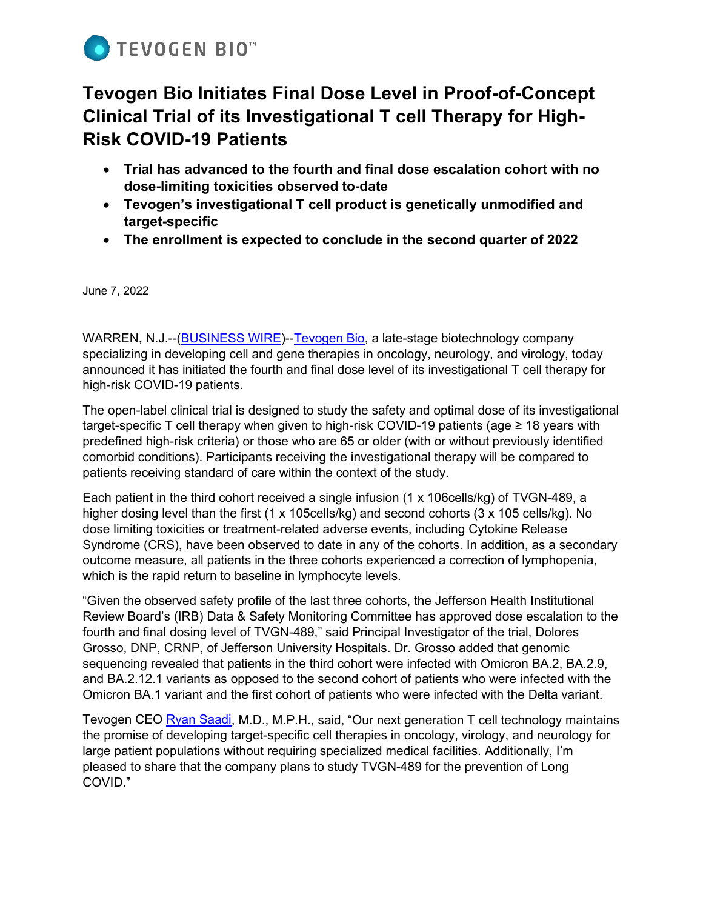

# **Tevogen Bio Initiates Final Dose Level in Proof-of-Concept Clinical Trial of its Investigational T cell Therapy for High-Risk COVID-19 Patients**

- **Trial has advanced to the fourth and final dose escalation cohort with no dose-limiting toxicities observed to-date**
- **Tevogen's investigational T cell product is genetically unmodified and target-specific**
- **The enrollment is expected to conclude in the second quarter of 2022**

June 7, 2022

WARREN, N.J.--[\(BUSINESS WIRE\)](https://www.businesswire.com/portal/site/home/)-[-Tevogen Bio,](https://tevogen.com/) a late-stage biotechnology company specializing in developing cell and gene therapies in oncology, neurology, and virology, today announced it has initiated the fourth and final dose level of its investigational T cell therapy for high-risk COVID-19 patients.

The open-label clinical trial is designed to study the safety and optimal dose of its investigational target-specific T cell therapy when given to high-risk COVID-19 patients (age ≥ 18 years with predefined high-risk criteria) or those who are 65 or older (with or without previously identified comorbid conditions). Participants receiving the investigational therapy will be compared to patients receiving standard of care within the context of the study.

Each patient in the third cohort received a single infusion (1 x 106cells/kg) of TVGN-489, a higher dosing level than the first (1 x 105cells/kg) and second cohorts (3 x 105 cells/kg). No dose limiting toxicities or treatment-related adverse events, including Cytokine Release Syndrome (CRS), have been observed to date in any of the cohorts. In addition, as a secondary outcome measure, all patients in the three cohorts experienced a correction of lymphopenia, which is the rapid return to baseline in lymphocyte levels.

"Given the observed safety profile of the last three cohorts, the Jefferson Health Institutional Review Board's (IRB) Data & Safety Monitoring Committee has approved dose escalation to the fourth and final dosing level of TVGN-489," said Principal Investigator of the trial, Dolores Grosso, DNP, CRNP, of Jefferson University Hospitals. Dr. Grosso added that genomic sequencing revealed that patients in the third cohort were infected with Omicron BA.2, BA.2.9, and BA.2.12.1 variants as opposed to the second cohort of patients who were infected with the Omicron BA.1 variant and the first cohort of patients who were infected with the Delta variant.

Tevogen CEO [Ryan Saadi,](https://www.linkedin.com/in/ryansaadi/) M.D., M.P.H., said, "Our next generation T cell technology maintains the promise of developing target-specific cell therapies in oncology, virology, and neurology for large patient populations without requiring specialized medical facilities. Additionally, I'm pleased to share that the company plans to study TVGN-489 for the prevention of Long COVID."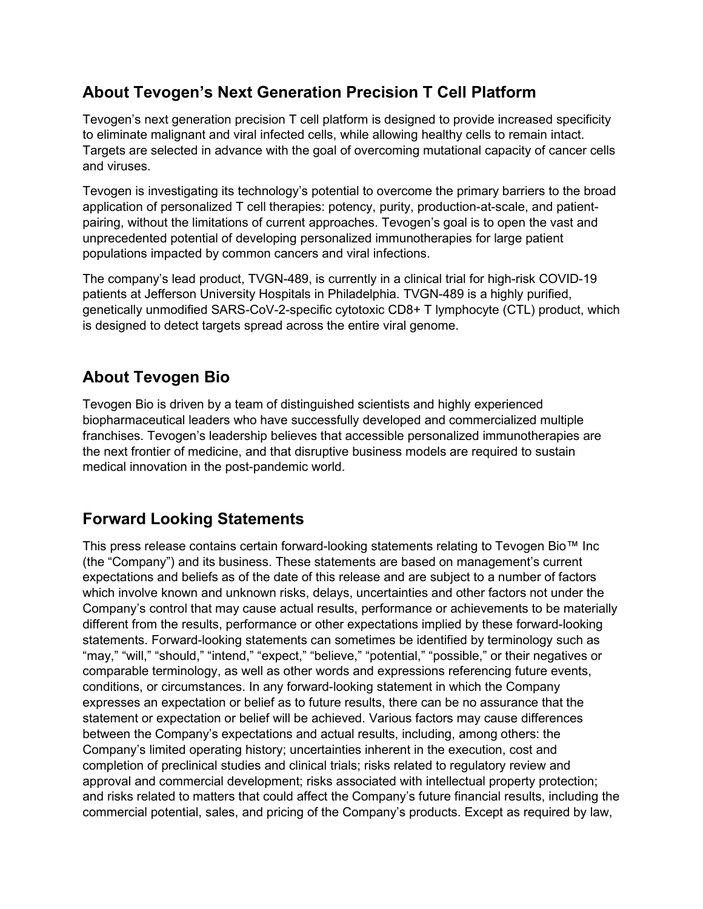### **About Tevogen's Next Generation Precision T Cell Platform**

Tevogen's next generation precision T cell platform is designed to provide increased specificity to eliminate malignant and viral infected cells, while allowing healthy cells to remain intact. Targets are selected in advance with the goal of overcoming mutational capacity of cancer cells and viruses.

Tevogen is investigating its technology's potential to overcome the primary barriers to the broad application of personalized T cell therapies: potency, purity, production-at-scale, and patientpairing, without the limitations of current approaches. Tevogen's goal is to open the vast and unprecedented potential of developing personalized immunotherapies for large patient populations impacted by common cancers and viral infections.

The company's lead product, TVGN-489, is currently in a clinical trial for high-risk COVID-19 patients at Jefferson University Hospitals in Philadelphia. TVGN-489 is a highly purified, genetically unmodified SARS-CoV-2-specific cytotoxic CD8+ T lymphocyte (CTL) product, which is designed to detect targets spread across the entire viral genome.

## **About Tevogen Bio**

Tevogen Bio is driven by a team of distinguished scientists and highly experienced biopharmaceutical leaders who have successfully developed and commercialized multiple franchises. Tevogen's leadership believes that accessible personalized immunotherapies are the next frontier of medicine, and that disruptive business models are required to sustain medical innovation in the post-pandemic world.

### **Forward Looking Statements**

This press release contains certain forward-looking statements relating to Tevogen Bio™ Inc (the "Company") and its business. These statements are based on management's current expectations and beliefs as of the date of this release and are subject to a number of factors which involve known and unknown risks, delays, uncertainties and other factors not under the Company's control that may cause actual results, performance or achievements to be materially different from the results, performance or other expectations implied by these forward-looking statements. Forward-looking statements can sometimes be identified by terminology such as "may," "will," "should," "intend," "expect," "believe," "potential," "possible," or their negatives or comparable terminology, as well as other words and expressions referencing future events, conditions, or circumstances. In any forward-looking statement in which the Company expresses an expectation or belief as to future results, there can be no assurance that the statement or expectation or belief will be achieved. Various factors may cause differences between the Company's expectations and actual results, including, among others: the Company's limited operating history; uncertainties inherent in the execution, cost and completion of preclinical studies and clinical trials; risks related to regulatory review and approval and commercial development; risks associated with intellectual property protection; and risks related to matters that could affect the Company's future financial results, including the commercial potential, sales, and pricing of the Company's products. Except as required by law,